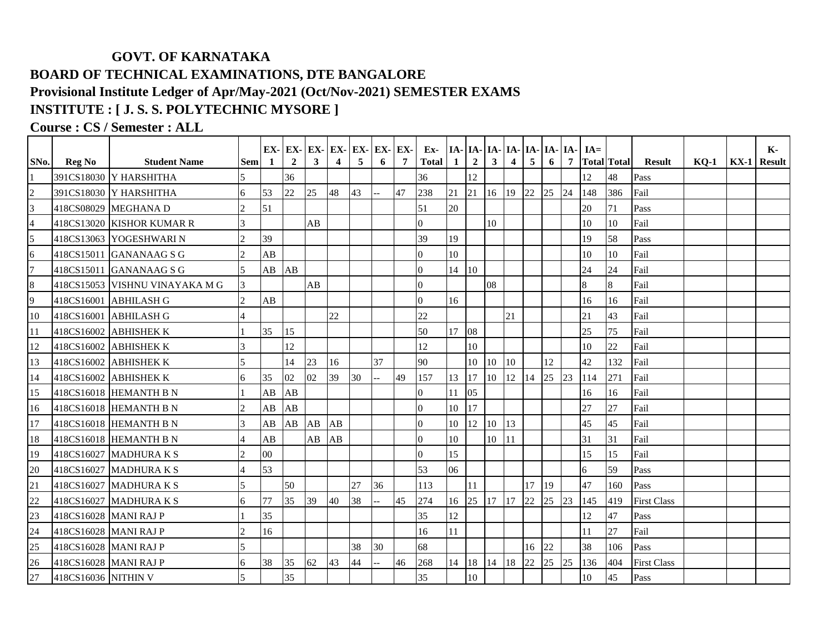## **GOVT. OF KARNATAKA BOARD OF TECHNICAL EXAMINATIONS, DTE BANGALORE Provisional Institute Ledger of Apr/May-2021 (Oct/Nov-2021) SEMESTER EXAMS INSTITUTE : [ J. S. S. POLYTECHNIC MYSORE ]**

## **Course : CS / Semester : ALL**

|                         |                       |                                |                             |    | EX-EX-         | EX-          | EX- | EX- | EX-EX- |                | Ex-            |          | IA- IA- IA- IA- IA- IA- IA- IA- |              |                |    |    |                | $IA=$ |                    |                    |        | К-                 |
|-------------------------|-----------------------|--------------------------------|-----------------------------|----|----------------|--------------|-----|-----|--------|----------------|----------------|----------|---------------------------------|--------------|----------------|----|----|----------------|-------|--------------------|--------------------|--------|--------------------|
| SNo.                    | <b>Reg No</b>         | <b>Student Name</b>            | <b>Sem</b>                  | -1 | $\overline{2}$ | $\mathbf{3}$ | 4   | 5   | 6      | $\overline{7}$ | <b>Total</b>   | $1\vert$ | $\overline{2}$                  | $\mathbf{3}$ | $\overline{4}$ | 5  | 6  | $\overline{7}$ |       | <b>Total Total</b> | <b>Result</b>      | $KO-1$ | <b>KX-1</b> Result |
|                         |                       | 391CS18030 Y HARSHITHA         |                             |    | 36             |              |     |     |        |                | 36             |          | 12                              |              |                |    |    |                | 12    | 48                 | Pass               |        |                    |
| $\overline{c}$          |                       | 391CS18030 Y HARSHITHA         | 6                           | 53 | 22             | 25           | 48  | 43  |        | 47             | 238            | 21       | 21                              | 16           | 19             | 22 | 25 | 24             | 148   | 386                | Fail               |        |                    |
| $\overline{\mathbf{3}}$ |                       | 418CS08029 MEGHANA D           | $\mathcal{D}_{\mathcal{L}}$ | 51 |                |              |     |     |        |                | 51             | 20       |                                 |              |                |    |    |                | 20    | 71                 | Pass               |        |                    |
| $\overline{a}$          |                       | 418CS13020 KISHOR KUMAR R      | 3                           |    |                | AB           |     |     |        |                | $\Omega$       |          |                                 | 10           |                |    |    |                | 10    | 10                 | Fail               |        |                    |
| $\overline{5}$          |                       | 418CS13063 YOGESHWARIN         | $\mathcal{D}$               | 39 |                |              |     |     |        |                | 39             | 19       |                                 |              |                |    |    |                | 19    | 58                 | Pass               |        |                    |
| 6                       |                       | 418CS15011 GANANAAG S G        |                             | AB |                |              |     |     |        |                | $\Omega$       | 10       |                                 |              |                |    |    |                | 10    | 10                 | Fail               |        |                    |
| $\overline{7}$          |                       | 418CS15011 GANANAAG S G        | $\overline{\phantom{a}}$    | AB | AB             |              |     |     |        |                | $\Omega$       | 14       | 10                              |              |                |    |    |                | 24    | 24                 | Fail               |        |                    |
| 8                       |                       | 418CS15053 VISHNU VINAYAKA M G |                             |    |                | AB           |     |     |        |                | $\Omega$       |          |                                 | 08           |                |    |    |                | 8     | 8                  | Fail               |        |                    |
| $\overline{9}$          |                       | 418CS16001 ABHILASH G          |                             | AB |                |              |     |     |        |                | $\Omega$       | 16       |                                 |              |                |    |    |                | 16    | 16                 | Fail               |        |                    |
| 10                      |                       | 418CS16001 ABHILASH G          | $\overline{A}$              |    |                |              | 22  |     |        |                | 22             |          |                                 |              | 21             |    |    |                | 21    | 43                 | Fail               |        |                    |
| 11                      |                       | 418CS16002 ABHISHEK K          |                             | 35 | 15             |              |     |     |        |                | 50             | 17       | 08                              |              |                |    |    |                | 25    | 75                 | Fail               |        |                    |
| 12                      |                       | 418CS16002 ABHISHEK K          |                             |    | 12             |              |     |     |        |                | 12             |          | 10                              |              |                |    |    |                | 10    | 22                 | Fail               |        |                    |
| 13                      |                       | 418CS16002 ABHISHEK K          |                             |    | 14             | 23           | 16  |     | 37     |                | 90             |          | 10                              | 10           | 10             |    | 12 |                | 42    | 132                | Fail               |        |                    |
| 14                      |                       | 418CS16002 ABHISHEK K          | 6                           | 35 | 02             | 02           | 39  | 30  |        | 49             | 157            | 13       | 17                              | 10           | 12             | 14 | 25 | 23             | 114   | 271                | Fail               |        |                    |
| 15                      |                       | 418CS16018 HEMANTH B N         |                             | AB | AB             |              |     |     |        |                | $\Omega$       | 11       | 05                              |              |                |    |    |                | 16    | 16                 | Fail               |        |                    |
| 16                      |                       | 418CS16018 HEMANTH B N         |                             | AB | AB             |              |     |     |        |                | $\Omega$       | $10\,$   | 17                              |              |                |    |    |                | 27    | 27                 | Fail               |        |                    |
| 17                      |                       | 418CS16018 HEMANTH B N         | $\mathbf{3}$                | AB | AB             | AB           | AB  |     |        |                | $\Omega$       | 10       | 12                              | 10           | 13             |    |    |                | 45    | 45                 | Fail               |        |                    |
| 18                      |                       | 418CS16018 HEMANTH B N         |                             | AB |                | AB           | AB  |     |        |                | $\overline{0}$ | 10       |                                 | 10           | 11             |    |    |                | 31    | 31                 | Fail               |        |                    |
| 19                      |                       | 418CS16027 MADHURA K S         | $\mathcal{D}$               | 00 |                |              |     |     |        |                | $\Omega$       | 15       |                                 |              |                |    |    |                | 15    | 15                 | Fail               |        |                    |
| 20                      |                       | 418CS16027 MADHURA K S         | 4                           | 53 |                |              |     |     |        |                | 53             | 06       |                                 |              |                |    |    |                | 6     | 59                 | Pass               |        |                    |
| 21                      |                       | 418CS16027 MADHURA K S         |                             |    | 50             |              |     | 27  | 36     |                | 113            |          | 11                              |              |                | 17 | 19 |                | 47    | 160                | Pass               |        |                    |
| 22                      |                       | 418CS16027 MADHURA K S         | 6                           | 77 | 35             | 39           | 40  | 38  |        | 45             | 274            | 16       | 25                              | 17           | 17             | 22 | 25 | 23             | 145   | 419                | <b>First Class</b> |        |                    |
| 23                      | 418CS16028 MANI RAJ P |                                |                             | 35 |                |              |     |     |        |                | 35             | 12       |                                 |              |                |    |    |                | 12    | 47                 | Pass               |        |                    |
| 24                      | 418CS16028 MANI RAJ P |                                | $\mathcal{D}$               | 16 |                |              |     |     |        |                | 16             | 11       |                                 |              |                |    |    |                | 11    | 27                 | Fail               |        |                    |
| 25                      | 418CS16028 MANI RAJ P |                                |                             |    |                |              |     | 38  | 30     |                | 68             |          |                                 |              |                | 16 | 22 |                | 38    | 106                | Pass               |        |                    |
| 26                      | 418CS16028 MANI RAJ P |                                | 6                           | 38 | 35             | 62           | 43  | 44  |        | 46             | 268            | 14       | 18                              | 14           | 18             | 22 | 25 | 25             | 136   | 404                | <b>First Class</b> |        |                    |
| 27                      | 418CS16036 NITHIN V   |                                | $\overline{\phantom{0}}$    |    | 35             |              |     |     |        |                | 35             |          | 10                              |              |                |    |    |                | 10    | 45                 | Pass               |        |                    |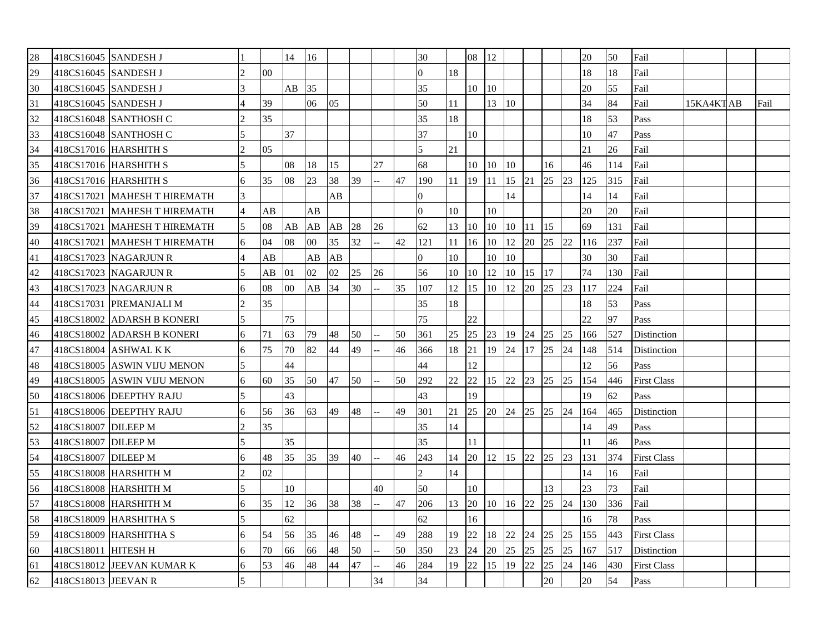| 28 | 418CS16045 SANDESH J |                              |                             |                | 14    | 16     |         |    |    |    | 30             |    | 08               | 12 |                  |              |                 |    | 20  | 50  | Fail               |           |      |
|----|----------------------|------------------------------|-----------------------------|----------------|-------|--------|---------|----|----|----|----------------|----|------------------|----|------------------|--------------|-----------------|----|-----|-----|--------------------|-----------|------|
| 29 | 418CS16045 SANDESH J |                              | $\mathcal{D}_{\mathcal{A}}$ | 0 <sub>0</sub> |       |        |         |    |    |    | $\Omega$       | 18 |                  |    |                  |              |                 |    | 18  | 18  | Fail               |           |      |
| 30 | 418CS16045 SANDESH J |                              | $\overline{\mathbf{3}}$     |                | AB    | 35     |         |    |    |    | 35             |    | 10               | 10 |                  |              |                 |    | 20  | 55  | Fail               |           |      |
| 31 | 418CS16045 SANDESH J |                              |                             | 39             |       | 06     | 0.5     |    |    |    | 50             | 11 |                  | 13 | 10 <sup>10</sup> |              |                 |    | 34  | 84  | Fail               | 15KA4KTAB | Fail |
| 32 |                      | 418CS16048 SANTHOSH C        |                             | 35             |       |        |         |    |    |    | 35             | 18 |                  |    |                  |              |                 |    | 18  | 53  | Pass               |           |      |
| 33 |                      | 418CS16048 SANTHOSH C        | $\overline{\phantom{0}}$    |                | 37    |        |         |    |    |    | 37             |    | 10               |    |                  |              |                 |    | 10  | 47  | Pass               |           |      |
| 34 |                      | 418CS17016 HARSHITH S        | $\mathcal{D}$               | 05             |       |        |         |    |    |    | 5              | 21 |                  |    |                  |              |                 |    | 21  | 26  | Fail               |           |      |
| 35 |                      | 418CS17016 HARSHITH S        |                             |                | 08    | 18     | 15      |    | 27 |    | 68             |    | 10               | 10 | 10               |              | 16              |    | 46  | 114 | Fail               |           |      |
| 36 |                      | 418CS17016 HARSHITH S        | 6                           | 35             | 08    | 23     | 38      | 39 |    | 47 | 190            | 11 | $ 19\rangle$     | 11 | $15 \,  21$      |              | 25              | 23 | 125 | 315 | Fail               |           |      |
| 37 |                      | 418CS17021 MAHESH T HIREMATH | 3                           |                |       |        | AB      |    |    |    | $\overline{0}$ |    |                  |    | 14               |              |                 |    | 14  | 14  | Fail               |           |      |
| 38 |                      | 418CS17021 MAHESH T HIREMATH |                             | AB             |       | AB     |         |    |    |    | $\overline{0}$ | 10 |                  | 10 |                  |              |                 |    | 20  | 20  | Fail               |           |      |
| 39 |                      | 418CS17021 MAHESH T HIREMATH |                             | 08             | AB AB |        | $AB$ 28 |    | 26 |    | 62             | 13 | 10 <sup>10</sup> | 10 | 10               | $ 11\rangle$ | $\overline{15}$ |    | 69  | 131 | Fail               |           |      |
| 40 |                      | 418CS17021 MAHESH T HIREMATH | 6                           | 04             | 08    | $00\,$ | 35      | 32 |    | 42 | 121            | 11 | 16               | 10 | 12               | 20           | 25              | 22 | 116 | 237 | Fail               |           |      |
| 41 |                      | 418CS17023 NAGARJUN R        | $\overline{4}$              | AB             |       | AB     | AB      |    |    |    | $\Omega$       | 10 |                  | 10 | 10               |              |                 |    | 30  | 30  | Fail               |           |      |
| 42 |                      | 418CS17023 NAGARJUN R        | 5                           | AB             | 01    | 02     | 02      | 25 | 26 |    | 56             | 10 | $ 10\rangle$     | 12 | 10               | 15           | 17              |    | 74  | 130 | Fail               |           |      |
| 43 |                      | 418CS17023 NAGARJUN R        | 6                           | 08             | 00    | AB     | 34      | 30 |    | 35 | 107            | 12 | $\vert$ 15       | 10 | 12               | 20           | 25              | 23 | 117 | 224 | Fail               |           |      |
| 44 |                      | 418CS17031 PREMANJALI M      | $\overline{c}$              | 35             |       |        |         |    |    |    | 35             | 18 |                  |    |                  |              |                 |    | 18  | 53  | Pass               |           |      |
| 45 |                      | 418CS18002 ADARSH B KONERI   | 5                           |                | 75    |        |         |    |    |    | 75             |    | 22               |    |                  |              |                 |    | 22  | 97  | Pass               |           |      |
| 46 |                      | 418CS18002 ADARSH B KONERI   | 6                           | 71             | 63    | 79     | 48      | 50 |    | 50 | 361            | 25 | 25               | 23 | 19 24            |              | 25              | 25 | 166 | 527 | Distinction        |           |      |
| 47 |                      | 418CS18004 ASHWAL K K        | 6                           | 75             | 70    | 82     | 44      | 49 |    | 46 | 366            | 18 | 21               | 19 | 24               | 17 25        |                 | 24 | 148 | 514 | Distinction        |           |      |
| 48 |                      | 418CS18005 ASWIN VIJU MENON  | 5                           |                | 44    |        |         |    |    |    | 44             |    | 12               |    |                  |              |                 |    | 12  | 56  | Pass               |           |      |
| 49 |                      | 418CS18005 ASWIN VIJU MENON  | 6                           | 60             | 35    | 50     | 47      | 50 |    | 50 | 292            | 22 | 22               | 15 | 22               | 23           | 25              | 25 | 154 | 446 | <b>First Class</b> |           |      |
| 50 |                      | 418CS18006 DEEPTHY RAJU      | $\overline{\phantom{0}}$    |                | 43    |        |         |    |    |    | 43             |    | 19               |    |                  |              |                 |    | 19  | 62  | Pass               |           |      |
| 51 |                      | 418CS18006 DEEPTHY RAJU      | 6                           | 56             | 36    | 63     | 49      | 48 |    | 49 | 301            | 21 | 25               | 20 | 24 25            |              | 25              | 24 | 164 | 465 | Distinction        |           |      |
| 52 | 418CS18007 DILEEP M  |                              | $\mathfrak{D}$              | 35             |       |        |         |    |    |    | 35             | 14 |                  |    |                  |              |                 |    | 14  | 49  | Pass               |           |      |
| 53 | 418CS18007 DILEEP M  |                              | 5                           |                | 35    |        |         |    |    |    | 35             |    | 11               |    |                  |              |                 |    | 11  | 46  | Pass               |           |      |
| 54 | 418CS18007 DILEEP M  |                              | 6                           | 48             | 35    | 35     | 39      | 40 |    | 46 | 243            | 14 | 20               | 12 | 15               | 22           | 25              | 23 | 131 | 374 | <b>First Class</b> |           |      |
| 55 |                      | 418CS18008 HARSHITH M        |                             | 02             |       |        |         |    |    |    | $\mathcal{L}$  | 14 |                  |    |                  |              |                 |    | 14  | 16  | Fail               |           |      |
| 56 |                      | 418CS18008 HARSHITH M        |                             |                | 10    |        |         |    | 40 |    | 50             |    | 10               |    |                  |              | 13              |    | 23  | 73  | Fail               |           |      |
| 57 |                      | 418CS18008 HARSHITH M        | 6                           | 35             | 12    | 36     | 38      | 38 | -- | 47 | 206            | 13 | 20               | 10 | 16               | 22           | 25              | 24 | 130 | 336 | Fail               |           |      |
| 58 |                      | 418CS18009 HARSHITHA S       |                             |                | 62    |        |         |    |    |    | 62             |    | 16               |    |                  |              |                 |    | 16  | 78  | Pass               |           |      |
| 59 |                      | 418CS18009 HARSHITHA S       | 6                           | 54             | 56    | 35     | 46      | 48 |    | 49 | 288            | 19 | 22               | 18 | 22               | 24           | 25              | 25 | 155 | 443 | <b>First Class</b> |           |      |
| 60 | 418CS18011 HITESH H  |                              | 6                           | 70             | 66    | 66     | 48      | 50 |    | 50 | 350            | 23 | 24               | 20 | 25               | 25           | 25              | 25 | 167 | 517 | Distinction        |           |      |
| 61 |                      | 418CS18012 JEEVAN KUMAR K    | 6                           | 53             | 46    | 48     | 44      | 47 |    | 46 | 284            | 19 | 22               | 15 | 19               | 22           | 25              | 24 | 146 | 430 | <b>First Class</b> |           |      |
| 62 | 418CS18013 JEEVAN R  |                              |                             |                |       |        |         |    | 34 |    | 34             |    |                  |    |                  |              | 20              |    | 20  | 54  | Pass               |           |      |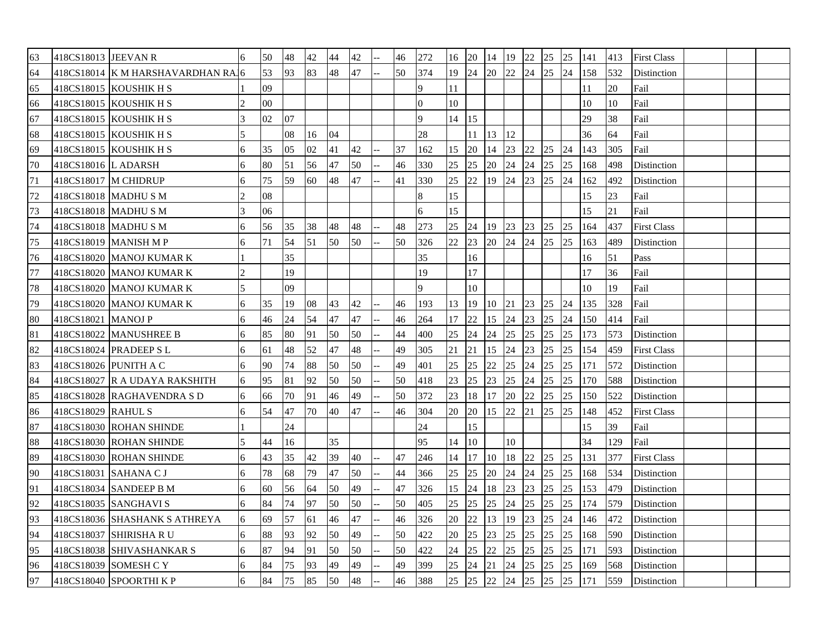| 63 | 418CS18013 JEEVAN R    |                                   | 6 | 50     | 48 | 42 | 44 | 42 | 46 | 272            | 16 | 20           | 14  | 19               | 22 | 25    | 25 | 141 | 413 | <b>First Class</b> |  |  |
|----|------------------------|-----------------------------------|---|--------|----|----|----|----|----|----------------|----|--------------|-----|------------------|----|-------|----|-----|-----|--------------------|--|--|
| 64 |                        | 418CS18014 K M HARSHAVARDHAN RAJ6 |   | 53     | 93 | 83 | 48 | 47 | 50 | 374            | 19 | 24           | 20  | 22               | 24 | 25    | 24 | 158 | 532 | Distinction        |  |  |
| 65 |                        | 418CS18015 KOUSHIK H S            |   | 09     |    |    |    |    |    | 9              | 11 |              |     |                  |    |       |    | 11  | 20  | Fail               |  |  |
| 66 |                        | 418CS18015   KOUSHIK H S          |   | $00\,$ |    |    |    |    |    | $\overline{0}$ | 10 |              |     |                  |    |       |    | 10  | 10  | Fail               |  |  |
| 67 |                        | 418CS18015 KOUSHIK H S            |   | 02     | 07 |    |    |    |    | 9              | 14 | 15           |     |                  |    |       |    | 29  | 38  | Fail               |  |  |
| 68 |                        | 418CS18015   KOUSHIK H S          | 5 |        | 08 | 16 | 04 |    |    | 28             |    | 11           | 13  | 12               |    |       |    | 36  | 64  | Fail               |  |  |
| 69 |                        | 418CS18015 KOUSHIK H S            | 6 | 35     | 05 | 02 | 41 | 42 | 37 | 162            | 15 | 20           | 14  | 23               | 22 | 25    | 24 | 143 | 305 | Fail               |  |  |
| 70 | 418CS18016 L ADARSH    |                                   | 6 | 80     | 51 | 56 | 47 | 50 | 46 | 330            | 25 | 25           | 20  | 24               | 24 | 25    | 25 | 168 | 498 | Distinction        |  |  |
| 71 | 418CS18017 M CHIDRUP   |                                   | 6 | 75     | 59 | 60 | 48 | 47 | 41 | 330            | 25 | 22           | 19  | 24               | 23 | 25    | 24 | 162 | 492 | Distinction        |  |  |
| 72 | 418CS18018 MADHUSM     |                                   |   | 08     |    |    |    |    |    | 8              | 15 |              |     |                  |    |       |    | 15  | 23  | Fail               |  |  |
| 73 | 418CS18018   MADHU S M |                                   |   | 06     |    |    |    |    |    | 6              | 15 |              |     |                  |    |       |    | 15  | 21  | Fail               |  |  |
| 74 | 418CS18018 MADHU S M   |                                   | 6 | 56     | 35 | 38 | 48 | 48 | 48 | 273            | 25 | 24           | 19  | 23               | 23 | 25    | 25 | 164 | 437 | <b>First Class</b> |  |  |
| 75 |                        | 418CS18019 MANISH M P             | 6 | 71     | 54 | 51 | 50 | 50 | 50 | 326            | 22 | 23           |     | $20 \t 24 \t 24$ |    | 25    | 25 | 163 | 489 | Distinction        |  |  |
| 76 |                        | 418CS18020 MANOJ KUMAR K          |   |        | 35 |    |    |    |    | 35             |    | 16           |     |                  |    |       |    | 16  | 51  | Pass               |  |  |
| 77 |                        | 418CS18020 MANOJ KUMAR K          |   |        | 19 |    |    |    |    | 19             |    | 17           |     |                  |    |       |    | 17  | 36  | Fail               |  |  |
| 78 |                        | 418CS18020 MANOJ KUMAR K          |   |        | 09 |    |    |    |    | 9              |    | 10           |     |                  |    |       |    | 10  | 19  | Fail               |  |  |
| 79 |                        | 418CS18020 MANOJ KUMAR K          | 6 | 35     | 19 | 08 | 43 | 42 | 46 | 193            | 13 | $ 19\rangle$ | 10  | 21               | 23 | 25    | 24 | 135 | 328 | Fail               |  |  |
| 80 | 418CS18021 MANOJ P     |                                   | 6 | 46     | 24 | 54 | 47 | 47 | 46 | 264            | 17 | 22           | 15  | 24               | 23 | 25    | 24 | 150 | 414 | Fail               |  |  |
| 81 |                        | 418CS18022 MANUSHREE B            | 6 | 85     | 80 | 91 | 50 | 50 | 44 | 400            | 25 | 24           | 24  | 25               | 25 | 25    | 25 | 173 | 573 | Distinction        |  |  |
| 82 |                        | 418CS18024 PRADEEP SL             | 6 | 61     | 48 | 52 | 47 | 48 | 49 | 305            | 21 | 21           | 15  | 24               | 23 | 25    | 25 | 154 | 459 | <b>First Class</b> |  |  |
| 83 | 418CS18026 PUNITH A C  |                                   | 6 | 90     | 74 | 88 | 50 | 50 | 49 | 401            | 25 | 25           | 22  | 25               | 24 | 25    | 25 | 171 | 572 | Distinction        |  |  |
| 84 |                        | 418CS18027 R A UDAYA RAKSHITH     | 6 | 95     | 81 | 92 | 50 | 50 | 50 | 418            | 23 | 25           | 23  | 25               | 24 | 25    | 25 | 170 | 588 | Distinction        |  |  |
| 85 |                        | 418CS18028 RAGHAVENDRA SD         | 6 | 66     | 70 | 91 | 46 | 49 | 50 | 372            | 23 | 18           | 17  | 20               | 22 | 25    | 25 | 150 | 522 | Distinction        |  |  |
| 86 | 418CS18029 RAHUL S     |                                   | 6 | 54     | 47 | 70 | 40 | 47 | 46 | 304            | 20 | <b>20</b>    | 15  | 22               | 21 | 25    | 25 | 148 | 452 | <b>First Class</b> |  |  |
| 87 |                        | 418CS18030 ROHAN SHINDE           |   |        | 24 |    |    |    |    | 24             |    | 15           |     |                  |    |       |    | 15  | 39  | Fail               |  |  |
| 88 |                        | 418CS18030 ROHAN SHINDE           |   | 44     | 16 |    | 35 |    |    | 95             | 14 | 10           |     | 10               |    |       |    | 34  | 129 | Fail               |  |  |
| 89 |                        | 418CS18030 ROHAN SHINDE           | 6 | 43     | 35 | 42 | 39 | 40 | 47 | 246            | 14 | 17           | 110 | 18               | 22 | 25 25 |    | 131 | 377 | <b>First Class</b> |  |  |
| 90 | 418CS18031 SAHANA C J  |                                   | 6 | 78     | 68 | 79 | 47 | 50 | 44 | 366            | 25 | 25           | 20  | 24               | 24 | 25    | 25 | 168 | 534 | Distinction        |  |  |
| 91 |                        | 418CS18034 SANDEEP B M            | 6 | 60     | 56 | 64 | 50 | 49 | 47 | 326            | 15 | 24           | 18  | 23               | 23 | 25    | 25 | 153 | 479 | Distinction        |  |  |
| 92 |                        | 418CS18035 SANGHAVI S             | 6 | 84     | 74 | 97 | 50 | 50 | 50 | 405            | 25 | 25           | 25  | 24               | 25 | 25    | 25 | 174 | 579 | Distinction        |  |  |
| 93 |                        | 418CS18036 SHASHANK S ATHREYA     | 6 | 69     | 57 | 61 | 46 | 47 | 46 | 326            | 20 | 22           | 13  | 19               | 23 | 25    | 24 | 146 | 472 | Distinction        |  |  |
| 94 |                        | 418CS18037 SHIRISHA R U           | 6 | 88     | 93 | 92 | 50 | 49 | 50 | 422            | 20 | 25           | 23  | 25               | 25 | 25    | 25 | 168 | 590 | Distinction        |  |  |
| 95 |                        | 418CS18038 SHIVASHANKAR S         | 6 | 87     | 94 | 91 | 50 | 50 | 50 | 422            | 24 | 25           | 22  | 25               | 25 | 25    | 25 | 171 | 593 | Distinction        |  |  |
| 96 |                        | 418CS18039 SOMESH C Y             | 6 | 84     | 75 | 93 | 49 | 49 | 49 | 399            | 25 | 24           | 21  | 24               | 25 | 25    | 25 | 169 | 568 | Distinction        |  |  |
| 97 |                        | 418CS18040 SPOORTHI K P           | 6 | 84     | 75 | 85 | 50 | 48 | 46 | 388            | 25 | 25           | 22  | 24               | 25 | 25    | 25 | 171 | 559 | Distinction        |  |  |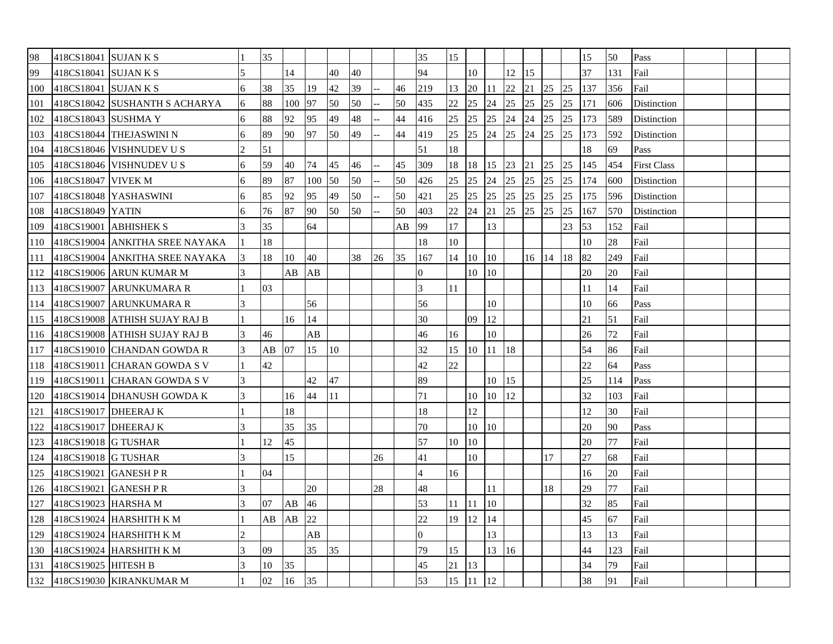| 98  | 418CS18041 SUJAN K S |                                |               | 35 |     |     |                 |    |    |    | 35             | 15 |                 |    |    |    |    |    | 15  | 50  | Pass               |  |  |
|-----|----------------------|--------------------------------|---------------|----|-----|-----|-----------------|----|----|----|----------------|----|-----------------|----|----|----|----|----|-----|-----|--------------------|--|--|
| 99  | 418CS18041 SUJAN K S |                                |               |    | 14  |     | 40              | 40 |    |    | 94             |    | 10              |    | 12 | 15 |    |    | 37  | 131 | Fail               |  |  |
| 100 | 418CS18041 SUJAN K S |                                | 6             | 38 | 35  | 19  | 42              | 39 |    | 46 | 219            | 13 | 20              | 11 | 22 | 21 | 25 | 25 | 137 | 356 | Fail               |  |  |
| 101 |                      | 418CS18042 SUSHANTH S ACHARYA  | 6             | 88 | 100 | 97  | 50              | 50 |    | 50 | 435            | 22 | 25              | 24 | 25 | 25 | 25 | 25 | 171 | 606 | Distinction        |  |  |
| 102 | 418CS18043 SUSHMA Y  |                                | 6             | 88 | 92  | 95  | 49              | 48 |    | 44 | 416            | 25 | 25              | 25 | 24 | 24 | 25 | 25 | 173 | 589 | Distinction        |  |  |
| 103 |                      | 418CS18044  THEJASWINI N       | 6             | 89 | 90  | 97  | 50              | 49 |    | 44 | 419            | 25 | $\overline{25}$ | 24 | 25 | 24 | 25 | 25 | 173 | 592 | Distinction        |  |  |
| 104 |                      | 418CS18046 VISHNUDEV U S       |               | 51 |     |     |                 |    |    |    | 51             | 18 |                 |    |    |    |    |    | 18  | 69  | Pass               |  |  |
| 105 |                      | 418CS18046 VISHNUDEV U S       | 6             | 59 | 40  | 74  | 45              | 46 |    | 45 | 309            | 18 | <sup>18</sup>   | 15 | 23 | 21 | 25 | 25 | 145 | 454 | <b>First Class</b> |  |  |
| 106 | 418CS18047 VIVEK M   |                                | 6             | 89 | 87  | 100 | 50              | 50 |    | 50 | 426            | 25 | 25              | 24 | 25 | 25 | 25 | 25 | 174 | 600 | Distinction        |  |  |
| 107 |                      | 418CS18048 YASHASWINI          | 6             | 85 | 92  | 95  | 49              | 50 |    | 50 | 421            | 25 | 25              | 25 | 25 | 25 | 25 | 25 | 175 | 596 | Distinction        |  |  |
| 108 | 418CS18049 YATIN     |                                | 6             | 76 | 87  | 90  | 50              | 50 |    | 50 | 403            | 22 | 24              | 21 | 25 | 25 | 25 | 25 | 167 | 570 | Distinction        |  |  |
| 109 |                      | 418CS19001 ABHISHEK S          |               | 35 |     | 64  |                 |    |    | AB | 99             | 17 |                 | 13 |    |    |    | 23 | 53  | 152 | Fail               |  |  |
| 110 |                      | 418CS19004 ANKITHA SREE NAYAKA |               | 18 |     |     |                 |    |    |    | 18             | 10 |                 |    |    |    |    |    | 10  | 28  | Fail               |  |  |
| 111 |                      | 418CS19004 ANKITHA SREE NAYAKA | $\mathcal{E}$ | 18 | 10  | 40  |                 | 38 | 26 | 35 | 167            | 14 | $ 10\rangle$    | 10 |    | 16 | 14 | 18 | 82  | 249 | Fail               |  |  |
| 112 |                      | 418CS19006 ARUN KUMAR M        |               |    | AB  | AB  |                 |    |    |    | $\Omega$       |    | $10\,$          | 10 |    |    |    |    | 20  | 20  | Fail               |  |  |
| 113 |                      | 418CS19007 ARUNKUMARA R        |               | 03 |     |     |                 |    |    |    | 3              | 11 |                 |    |    |    |    |    | 11  | 14  | Fail               |  |  |
| 114 |                      | 418CS19007 ARUNKUMARA R        |               |    |     | 56  |                 |    |    |    | 56             |    |                 | 10 |    |    |    |    | 10  | 66  | Pass               |  |  |
| 115 |                      | 418CS19008 ATHISH SUJAY RAJ B  |               |    | 16  | 14  |                 |    |    |    | 30             |    | 09              | 12 |    |    |    |    | 21  | 51  | Fail               |  |  |
| 116 |                      | 418CS19008 ATHISH SUJAY RAJ B  |               | 46 |     | AB  |                 |    |    |    | 46             | 16 |                 | 10 |    |    |    |    | 26  | 72  | Fail               |  |  |
| 117 |                      | 418CS19010 CHANDAN GOWDA R     |               | AB | 07  | 15  | 10 <sup>°</sup> |    |    |    | 32             | 15 | 110             | 11 | 18 |    |    |    | 54  | 86  | Fail               |  |  |
| 118 |                      | 418CS19011 CHARAN GOWDA S V    |               | 42 |     |     |                 |    |    |    | 42             | 22 |                 |    |    |    |    |    | 22  | 64  | Pass               |  |  |
| 119 |                      | 418CS19011 CHARAN GOWDA S V    |               |    |     | 42  | 47              |    |    |    | 89             |    |                 | 10 | 15 |    |    |    | 25  | 114 | Pass               |  |  |
| 120 |                      | 418CS19014 DHANUSH GOWDA K     | 3             |    | 16  | 44  | 11              |    |    |    | 71             |    | 10              | 10 | 12 |    |    |    | 32  | 103 | Fail               |  |  |
| 121 | 418CS19017 DHEERAJ K |                                |               |    | 18  |     |                 |    |    |    | 18             |    | 12              |    |    |    |    |    | 12  | 30  | Fail               |  |  |
| 122 | 418CS19017 DHEERAJ K |                                |               |    | 35  | 35  |                 |    |    |    | 70             |    | 10              | 10 |    |    |    |    | 20  | 90  | Pass               |  |  |
| 123 | 418CS19018 G TUSHAR  |                                |               | 12 | 45  |     |                 |    |    |    | 57             | 10 | $ 10\rangle$    |    |    |    |    |    | 20  | 77  | Fail               |  |  |
| 124 | 418CS19018 G TUSHAR  |                                |               |    | 15  |     |                 |    | 26 |    | 41             |    | 10              |    |    |    | 17 |    | 27  | 68  | Fail               |  |  |
| 125 | 418CS19021 GANESH PR |                                |               | 04 |     |     |                 |    |    |    | $\overline{4}$ | 16 |                 |    |    |    |    |    | 16  | 20  | Fail               |  |  |
| 126 |                      | 418CS19021 GANESH P R          |               |    |     | 20  |                 |    | 28 |    | 48             |    |                 | 11 |    |    | 18 |    | 29  | 77  | Fail               |  |  |
| 127 | 418CS19023 HARSHA M  |                                |               | 07 | AB  | 46  |                 |    |    |    | 53             | 11 | <sup>11</sup>   | 10 |    |    |    |    | 32  | 85  | Fail               |  |  |
| 128 |                      | 418CS19024 HARSHITH K M        |               | AB | AB  | 22  |                 |    |    |    | 22             | 19 | 12              | 14 |    |    |    |    | 45  | 67  | Fail               |  |  |
| 129 |                      | 418CS19024 HARSHITH K M        |               |    |     | AB  |                 |    |    |    | $\Omega$       |    |                 | 13 |    |    |    |    | 13  | 13  | Fail               |  |  |
|     |                      | 130 418CS19024 HARSHITH K M    |               | 09 |     | 35  | 35              |    |    |    | 79             | 15 |                 | 13 | 16 |    |    |    | 44  | 123 | Fail               |  |  |
| 131 | 418CS19025 HITESH B  |                                |               | 10 | 35  |     |                 |    |    |    | 45             | 21 | 13              |    |    |    |    |    | 34  | 79  | Fail               |  |  |
|     |                      | 132 418CS19030 KIRANKUMAR M    |               | 02 | 16  | 35  |                 |    |    |    | 53             | 15 | 11              | 12 |    |    |    |    | 38  | 91  | Fail               |  |  |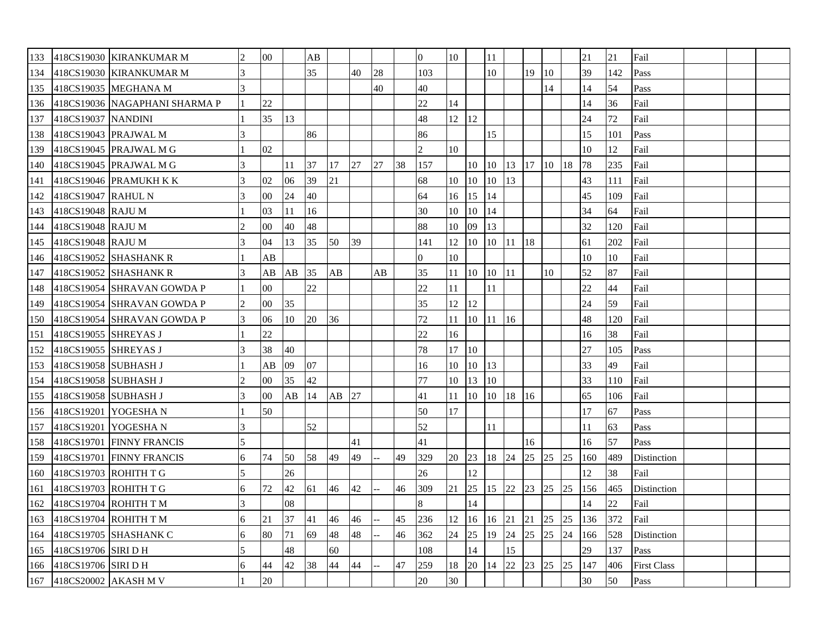|     |                           | 133 418CS19030 KIRANKUMAR M   | $\overline{c}$ | $00\,$ |    | AB |    |    |    |    | $\Omega$       | 10            |            | 11    |          |    |       |    | 21  | 21  | Fail               |  |  |
|-----|---------------------------|-------------------------------|----------------|--------|----|----|----|----|----|----|----------------|---------------|------------|-------|----------|----|-------|----|-----|-----|--------------------|--|--|
| 134 |                           | 418CS19030 KIRANKUMAR M       |                |        |    | 35 |    | 40 | 28 |    | 103            |               |            | 10    |          | 19 | 10    |    | 39  | 142 | Pass               |  |  |
| 135 |                           | 418CS19035 MEGHANA M          |                |        |    |    |    |    | 40 |    | 40             |               |            |       |          |    | 14    |    | 14  | 54  | Pass               |  |  |
| 136 |                           | 418CS19036 NAGAPHANI SHARMA P |                | 22     |    |    |    |    |    |    | 22             | 14            |            |       |          |    |       |    | 14  | 36  | Fail               |  |  |
| 137 | 418CS19037 NANDINI        |                               |                | 35     | 13 |    |    |    |    |    | 48             | $12 \mid 12$  |            |       |          |    |       |    | 24  | 72  | Fail               |  |  |
| 138 | 418CS19043 PRAJWAL M      |                               | 3              |        |    | 86 |    |    |    |    | 86             |               |            | 15    |          |    |       |    | 15  | 101 | Pass               |  |  |
| 139 |                           | 418CS19045 PRAJWAL M G        |                | 02     |    |    |    |    |    |    | $\overline{2}$ | 10            |            |       |          |    |       |    | 10  | 12  | Fail               |  |  |
| 140 |                           | 418CS19045 PRAJWAL M G        |                |        | 11 | 37 | 17 | 27 | 27 | 38 | 157            |               | $10 \, 10$ |       | 13 17 10 |    |       | 18 | 78  | 235 | Fail               |  |  |
| 141 |                           | 418CS19046 PRAMUKH K K        |                | 02     | 06 | 39 | 21 |    |    |    | 68             | $10 \quad 10$ |            | 10    | 13       |    |       |    | 43  | 111 | Fail               |  |  |
| 142 | 418CS19047 RAHUL N        |                               |                | $00\,$ | 24 | 40 |    |    |    |    | 64             | 16            | $\vert$ 15 | 14    |          |    |       |    | 45  | 109 | Fail               |  |  |
| 143 | 418CS19048 RAJU M         |                               |                | 03     | 11 | 16 |    |    |    |    | 30             | 10            | 10         | 14    |          |    |       |    | 34  | 64  | Fail               |  |  |
| 144 | 418CS19048 RAJU M         |                               |                | 00     | 40 | 48 |    |    |    |    | 88             | 10            | 09         | 13    |          |    |       |    | 32  | 120 | Fail               |  |  |
| 145 | 418CS19048 RAJU M         |                               | 3              | 04     | 13 | 35 | 50 | 39 |    |    | 141            | 12            | 10         | 10 11 |          | 18 |       |    | 61  | 202 | Fail               |  |  |
| 146 |                           | $418CS19052$ SHASHANK R       |                | AВ     |    |    |    |    |    |    | $\Omega$       | 10            |            |       |          |    |       |    | 10  | 10  | Fail               |  |  |
| 147 |                           | 418CS19052 SHASHANK R         |                | AВ     | AB | 35 | AB |    | AB |    | 35             | 11            | 10 10      |       | 11       |    | 10    |    | 52  | 87  | Fail               |  |  |
| 148 |                           | 418CS19054 SHRAVAN GOWDA P    |                | $00\,$ |    | 22 |    |    |    |    | 22             | 11            |            | 11    |          |    |       |    | 22  | 44  | Fail               |  |  |
| 149 |                           | 418CS19054 SHRAVAN GOWDA P    |                | $00\,$ | 35 |    |    |    |    |    | 35             | 12            | 12         |       |          |    |       |    | 24  | 59  | Fail               |  |  |
| 150 |                           | 418CS19054 SHRAVAN GOWDA P    | 3              | 06     | 10 | 20 | 36 |    |    |    | 72             | 11            | 10 11      |       | 16       |    |       |    | 48  | 120 | Fail               |  |  |
| 151 | 418CS19055 SHREYAS J      |                               |                | 22     |    |    |    |    |    |    | 22             | 16            |            |       |          |    |       |    | 16  | 38  | Fail               |  |  |
| 152 | 418CS19055 SHREYAS J      |                               |                | 38     | 40 |    |    |    |    |    | 78             | 17            | $\vert$ 10 |       |          |    |       |    | 27  | 105 | Pass               |  |  |
|     | 153 418CS19058 SUBHASH J  |                               |                | AB     | 09 | 07 |    |    |    |    | 16             | 10            | 10         | 13    |          |    |       |    | 33  | 49  | Fail               |  |  |
|     | 154 418CS19058 SUBHASH J  |                               |                | $00\,$ | 35 | 42 |    |    |    |    | 77             | 10            | $\vert$ 13 | 10    |          |    |       |    | 33  | 110 | Fail               |  |  |
| 155 | 418CS19058 SUBHASH J      |                               | 3              | $00\,$ | AB | 14 | AB | 27 |    |    | 41             | 11            | 10         | 10    | 18       | 16 |       |    | 65  | 106 | Fail               |  |  |
|     | 156 418CS19201 YOGESHA N  |                               |                | 50     |    |    |    |    |    |    | 50             | 17            |            |       |          |    |       |    | 17  | 67  | Pass               |  |  |
| 157 | 418CS19201 YOGESHA N      |                               | 3              |        |    | 52 |    |    |    |    | 52             |               |            | 11    |          |    |       |    | 11  | 63  | Pass               |  |  |
| 158 |                           | 418CS19701 FINNY FRANCIS      |                |        |    |    |    | 41 |    |    | 41             |               |            |       |          | 16 |       |    | 16  | 57  | Pass               |  |  |
| 159 |                           | 418CS19701 FINNY FRANCIS      | 6              | 74     | 50 | 58 | 49 | 49 |    | 49 | 329            | 20 23         |            | 18 24 |          | 25 | 25 25 |    | 160 | 489 | Distinction        |  |  |
| 160 | 418CS19703 ROHITH T G     |                               |                |        | 26 |    |    |    |    |    | 26             |               | 12         |       |          |    |       |    | 12  | 38  | Fail               |  |  |
|     | 161 418CS19703 ROHITH T G |                               | 6              | 72     | 42 | 61 | 46 | 42 |    | 46 | 309            | 21            | 25         | 15 22 |          | 23 | 25    | 25 | 156 | 465 | Distinction        |  |  |
| 162 | 418CS19704 ROHITH T M     |                               | 3              |        | 08 |    |    |    |    |    | 8              |               | 14         |       |          |    |       |    | 14  | 22  | Fail               |  |  |
| 163 | 418CS19704 ROHITH T M     |                               | 6              | 21     | 37 | 41 | 46 | 46 |    | 45 | 236            | 12            | 16         | 16    | 21       | 21 | 25    | 25 | 136 | 372 | Fail               |  |  |
| 164 |                           | 418CS19705 SHASHANK C         | 6              | 80     | 71 | 69 | 48 | 48 |    | 46 | 362            | 24 25         |            | 19    | 24       | 25 | 25    | 24 | 166 | 528 | Distinction        |  |  |
| 165 | 418CS19706 SIRI D H       |                               |                |        | 48 |    | 60 |    |    |    | 108            |               | 14         |       | 15       |    |       |    | 29  | 137 | Pass               |  |  |
|     | 166 418CS19706 SIRI D H   |                               | 6              | 44     | 42 | 38 | 44 | 44 |    | 47 | 259            | 18            | 20         | 14    | 22       | 23 | 25    | 25 | 147 | 406 | <b>First Class</b> |  |  |
|     | 167 418CS20002 AKASH M V  |                               |                | 20     |    |    |    |    |    |    | 20             | 30            |            |       |          |    |       |    | 30  | 50  | Pass               |  |  |